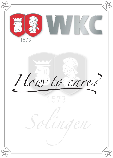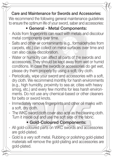### **Care and Maintenance for Swords and Accessories:**

We recommend the following general maintenance guidelines to ensure the optimum life of your sword, saber and accessories:

### **• General - Metal Components:**

- Acids from fingerprints can react with metals and discolour metal components over time.
- Salts and other air contaminants (e.g., formaldehydes from carpets, etc.) can collect on metal surfaces over time and can also cause discoloration.
- Water or humidity can affect all parts of the swords and accessories. They should be kept away from wet or humid conditions. In case the swords or accessories do get wet, please dry them properly by using a soft, dry cloth.
- Periodically, wipe your sword and accessories with a soft,<br>dry cloth. We recommend monthly for harsh environments dry cloth. We recommend monthly for harsh environments (e.g., high humidity, proximity to sea air, cities with heavy smog, etc.) and every few months for less harsh environments. Do not use any chemical-based or other cleaners for belts or sword knots.
- Immediately remove fingerprints and other oil marks with a soft, dry cloth.
- The WKC sword cloth cover also acts as the cleaning cloth. Turn it inside out and use the soft side of the fabric.

### **• Gold-Coloured Components:**

- All gold-coloured parts on WKC swords and accessories are gold-plated.
- Gold is a very soft metal. Rubbing or polishing gold-plated materials will remove the gold-plating and accessories are gold-plated.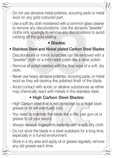- Do not use abrasive metal polishes, scouring pads or metal wool on any gold-coloured part.
- Use a soft dry cloth moistened with a common glass cleaner to remove any discolorations. Use the abrasive "ieweller" cloths only sparingly to remove any discolorations to avoid rubbing off the gold-plating.

## **• Blades:**

- **Stainless Steel and Nickel plated Carbon Steel Blades**
- Discolorations or minor scratches can be removed with a "jeweller" cloth or a mild metal polish like a silver polish.
- Remove all polish residue with the final wipe of a soft, dry cloth.
- Never use heavy abrasive polishes, scouring pads, or metal<br>wool as they will destroy the polished finish of the blade wool as they will destroy the polished finish of the blade.
- Avoid contact with acidic or alkaline substances as either may chemically react with metals in the stainless steel.

## **• High Carbon Steel Blades:**

- High Carbon steel that is not protected by a nickel layer, grease or oil will eventually rust.
- You need to maintain the blade like a rifle; use gun-oil or grease to oil your sword.
- Always remove fingerprints instantly with a soft, dry cloth.
- Do not store the blade in a steel scabbard for a long time, especially in a humid environment.
- Store in a dry area and apply oil or grease regularly; remove any old grease each time.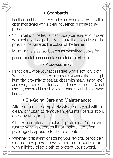## **• Scabbards:**

- Leather scabbards only require an occasional wipe with a cloth moistened with a clear household silicone spray polish.
- Scuff marks in the leather can usually be repaired or hidden with ordinary shoe polish. Make sure that the colour of the polish is the same as the colour of the leather.
- Maintain the steel scabbards as described above for

general metal components and stainless steel blades.

#### **• Accessories:**

We recommend monthly for harsh environments (e.g., high<br>humidity, proximity to sea air, cities with heavy smog, etc.) - Periodically, wipe your accessories with a soft, dry cloth. We recommend monthly for harsh environments (e.g., high and every few months for less harsh environments. Do not use any chemical-based or other cleaners for belts or sword knots

#### **• On-Going Care and Maintenance:**

- After each use, completely wipe the sword with a clean, dry cloth to remove fingerprints, perspiration, and any residue.
- All ferrous materials, including "stainless" steel will rust to varying degrees if not maintained after prolonged exposure to the elements.
- Whether displaying or storing your sword, periodically clean and wipe your sword and metal scabbards with a lightly oiled cloth to protect your sword.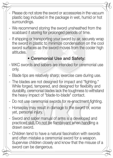- Please do not store the sword or accessories in the vacuum plastic bag included in the package in wet, humid or hot surroundings.
- We recommend storing the sword unsheathed from the scabbard if storing for prolonged periods of time.
- If shipping or transporting your sword by air, securely wrap the sword in plastic to minimize condensation on the cool sword surfaces as the sword moves from the cooler high altitudes.

# **• Ceremonial Use and Safety:**

- WKC swords and sabers are intended for ceremonial use only.
- Blade tips are relatively sharp; exercise care during use.
- The blades are not designed for impact and "fighting." While forged, tempered, and designed for flexibility and durability, ceremonial blades lack the toughness to withstand the heavy impact of "blade-to-blade" contact.
- Do not use ceremonial swords for re-enactment fighting.
- Horseplay may result in damage to the sword or, worse yet, personal injury.
- Sword and saber manual of arms is a developed and practiced skill. Do not be flamboyant when handling a drawn sword.
- Children tend to have a natural fascination with swords and often mistake a ceremonial sword for a weapon. Supervise children closely and know that the misuse of a sword can be dangerous.